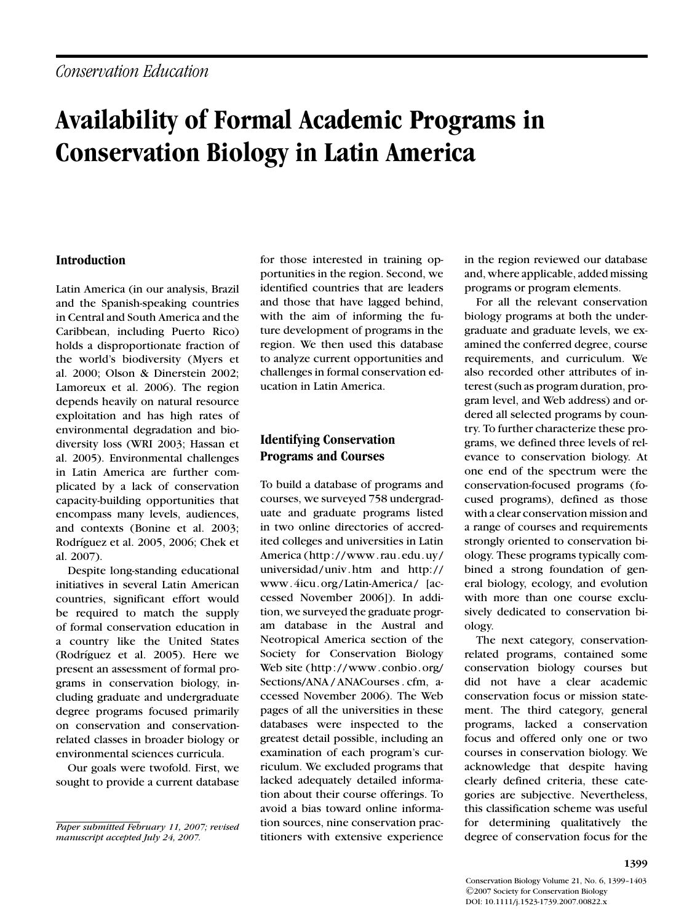# **Availability of Formal Academic Programs in Conservation Biology in Latin America**

#### **Introduction**

Latin America (in our analysis, Brazil and the Spanish-speaking countries in Central and South America and the Caribbean, including Puerto Rico) holds a disproportionate fraction of the world's biodiversity (Myers et al. 2000; Olson & Dinerstein 2002; Lamoreux et al. 2006). The region depends heavily on natural resource exploitation and has high rates of environmental degradation and biodiversity loss (WRI 2003; Hassan et al. 2005). Environmental challenges in Latin America are further complicated by a lack of conservation capacity-building opportunities that encompass many levels, audiences, and contexts (Bonine et al. 2003; Rodríguez et al. 2005, 2006; Chek et al. 2007).

Despite long-standing educational initiatives in several Latin American countries, significant effort would be required to match the supply of formal conservation education in a country like the United States (Rodríguez et al. 2005). Here we present an assessment of formal programs in conservation biology, including graduate and undergraduate degree programs focused primarily on conservation and conservationrelated classes in broader biology or environmental sciences curricula.

Our goals were twofold. First, we sought to provide a current database for those interested in training opportunities in the region. Second, we identified countries that are leaders and those that have lagged behind, with the aim of informing the future development of programs in the region. We then used this database to analyze current opportunities and challenges in formal conservation education in Latin America.

## **Identifying Conservation Programs and Courses**

To build a database of programs and courses, we surveyed 758 undergraduate and graduate programs listed in two online directories of accredited colleges and universities in Latin America (http://www.rau.edu.uy/ universidad/univ.htm and http:// www.4icu.org/Latin-America/ [accessed November 2006]). In addition, we surveyed the graduate program database in the Austral and Neotropical America section of the Society for Conservation Biology Web site (http://www.conbio.org/ Sections/ANA / ANACourses . cfm, accessed November 2006). The Web pages of all the universities in these databases were inspected to the greatest detail possible, including an examination of each program's curriculum. We excluded programs that lacked adequately detailed information about their course offerings. To avoid a bias toward online information sources, nine conservation practitioners with extensive experience

in the region reviewed our database and, where applicable, added missing programs or program elements.

For all the relevant conservation biology programs at both the undergraduate and graduate levels, we examined the conferred degree, course requirements, and curriculum. We also recorded other attributes of interest (such as program duration, program level, and Web address) and ordered all selected programs by country. To further characterize these programs, we defined three levels of relevance to conservation biology. At one end of the spectrum were the conservation-focused programs (focused programs), defined as those with a clear conservation mission and a range of courses and requirements strongly oriented to conservation biology. These programs typically combined a strong foundation of general biology, ecology, and evolution with more than one course exclusively dedicated to conservation biology.

The next category, conservationrelated programs, contained some conservation biology courses but did not have a clear academic conservation focus or mission statement. The third category, general programs, lacked a conservation focus and offered only one or two courses in conservation biology. We acknowledge that despite having clearly defined criteria, these categories are subjective. Nevertheless, this classification scheme was useful for determining qualitatively the degree of conservation focus for the

*Paper submitted February 11, 2007; revised manuscript accepted July 24, 2007.*

Conservation Biology Volume 21, No. 6, 1399–1403 -C 2007 Society for Conservation Biology DOI: 10.1111/j.1523-1739.2007.00822.x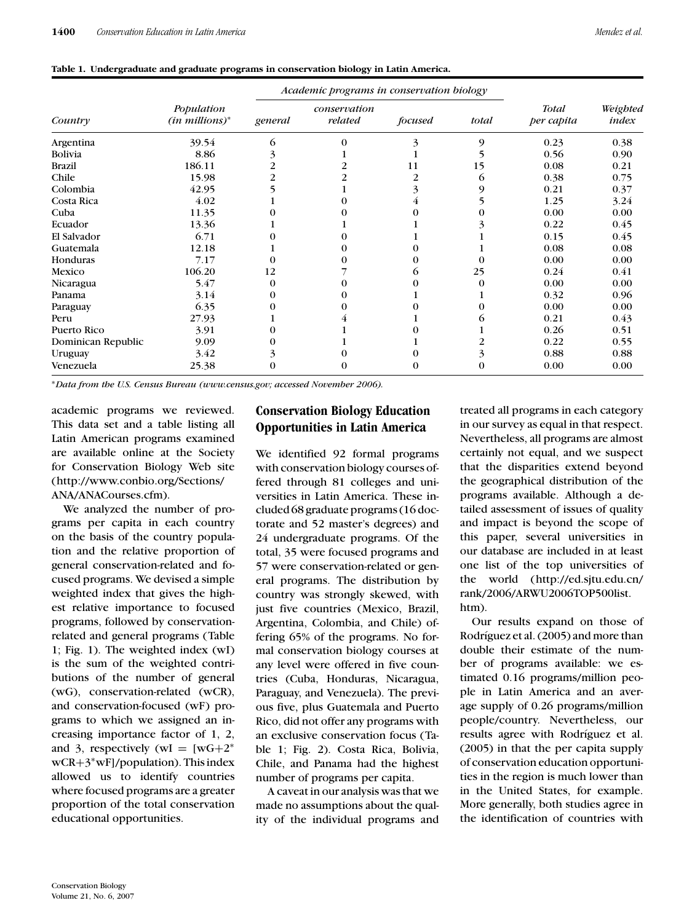|  |  |  | Table 1. Undergraduate and graduate programs in conservation biology in Latin America. |  |
|--|--|--|----------------------------------------------------------------------------------------|--|
|--|--|--|----------------------------------------------------------------------------------------|--|

|                    | Population<br>$(in\, millions)^*$ | Academic programs in conservation biology |                         |         |       |                            |                   |
|--------------------|-----------------------------------|-------------------------------------------|-------------------------|---------|-------|----------------------------|-------------------|
| Country            |                                   | general                                   | conservation<br>related | focused | total | <b>Total</b><br>per capita | Weighted<br>index |
| Argentina          | 39.54                             | 6                                         | 0                       |         | 9     | 0.23                       | 0.38              |
| Bolivia            | 8.86                              |                                           |                         |         |       | 0.56                       | 0.90              |
| <b>Brazil</b>      | 186.11                            | 2                                         |                         | 11      | 15    | 0.08                       | 0.21              |
| Chile              | 15.98                             | 2                                         |                         |         | 6     | 0.38                       | 0.75              |
| Colombia           | 42.95                             |                                           |                         |         | 9     | 0.21                       | 0.37              |
| Costa Rica         | 4.02                              |                                           |                         |         |       | 1.25                       | 3.24              |
| Cuba               | 11.35                             |                                           |                         |         |       | 0.00                       | 0.00              |
| Ecuador            | 13.36                             |                                           |                         |         |       | 0.22                       | 0.45              |
| El Salvador        | 6.71                              |                                           |                         |         |       | 0.15                       | 0.45              |
| Guatemala          | 12.18                             |                                           |                         |         |       | 0.08                       | 0.08              |
| Honduras           | 7.17                              |                                           |                         |         |       | 0.00                       | 0.00              |
| Mexico             | 106.20                            | 12                                        |                         | O.      | 25    | 0.24                       | 0.41              |
| Nicaragua          | 5.47                              | 0                                         |                         |         |       | 0.00                       | 0.00              |
| Panama             | 3.14                              |                                           |                         |         |       | 0.32                       | 0.96              |
| Paraguay           | 6.35                              |                                           |                         |         |       | 0.00                       | 0.00              |
| Peru               | 27.93                             |                                           |                         |         |       | 0.21                       | 0.43              |
| Puerto Rico        | 3.91                              |                                           |                         |         |       | 0.26                       | 0.51              |
| Dominican Republic | 9.09                              |                                           |                         |         |       | 0.22                       | 0.55              |
| Uruguay            | 3.42                              |                                           |                         |         | 3     | 0.88                       | 0.88              |
| Venezuela          | 25.38                             | 0                                         |                         |         | 0     | 0.00                       | 0.00              |

∗*Data from the U.S. Census Bureau (www.census.gov; accessed November 2006).*

academic programs we reviewed. This data set and a table listing all Latin American programs examined are available online at the Society for Conservation Biology Web site (http://www.conbio.org/Sections/ ANA/ANACourses.cfm).

We analyzed the number of programs per capita in each country on the basis of the country population and the relative proportion of general conservation-related and focused programs. We devised a simple weighted index that gives the highest relative importance to focused programs, followed by conservationrelated and general programs (Table 1; Fig. 1). The weighted index (wI) is the sum of the weighted contributions of the number of general (wG), conservation-related (wCR), and conservation-focused (wF) programs to which we assigned an increasing importance factor of 1, 2, and 3, respectively (wI =  $[wG+2^*]$ wCR+3∗wF]/population). This index allowed us to identify countries where focused programs are a greater proportion of the total conservation educational opportunities.

## **Conservation Biology Education Opportunities in Latin America**

We identified 92 formal programs with conservation biology courses offered through 81 colleges and universities in Latin America. These included 68 graduate programs (16 doctorate and 52 master's degrees) and 24 undergraduate programs. Of the total, 35 were focused programs and 57 were conservation-related or general programs. The distribution by country was strongly skewed, with just five countries (Mexico, Brazil, Argentina, Colombia, and Chile) offering 65% of the programs. No formal conservation biology courses at any level were offered in five countries (Cuba, Honduras, Nicaragua, Paraguay, and Venezuela). The previous five, plus Guatemala and Puerto Rico, did not offer any programs with an exclusive conservation focus (Table 1; Fig. 2). Costa Rica, Bolivia, Chile, and Panama had the highest number of programs per capita.

A caveat in our analysis was that we made no assumptions about the quality of the individual programs and treated all programs in each category in our survey as equal in that respect. Nevertheless, all programs are almost certainly not equal, and we suspect that the disparities extend beyond the geographical distribution of the programs available. Although a detailed assessment of issues of quality and impact is beyond the scope of this paper, several universities in our database are included in at least one list of the top universities of the world (http://ed.sjtu.edu.cn/ rank/2006/ARWU2006TOP500list. htm).

Our results expand on those of Rodríguez et al. (2005) and more than double their estimate of the number of programs available: we estimated 0.16 programs/million people in Latin America and an average supply of 0.26 programs/million people/country. Nevertheless, our results agree with Rodríguez et al. (2005) in that the per capita supply of conservation education opportunities in the region is much lower than in the United States, for example. More generally, both studies agree in the identification of countries with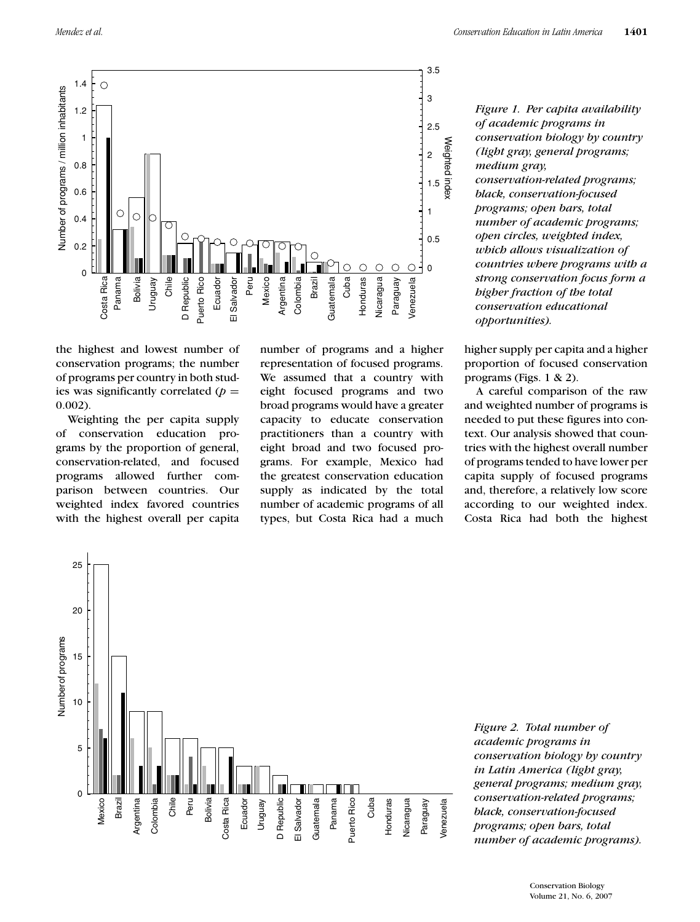0.002).

the highest and lowest number of conservation programs; the number of programs per country in both studies was significantly correlated  $(p =$ 

Weighting the per capita supply of conservation education programs by the proportion of general, conservation-related, and focused programs allowed further comparison between countries. Our weighted index favored countries with the highest overall per capita



number of programs and a higher representation of focused programs. We assumed that a country with eight focused programs and two broad programs would have a greater capacity to educate conservation practitioners than a country with eight broad and two focused programs. For example, Mexico had the greatest conservation education supply as indicated by the total number of academic programs of all types, but Costa Rica had a much

*Figure 1. Per capita availability of academic programs in conservation biology by country (light gray, general programs; medium gray, conservation-related programs; black, conservation-focused programs; open bars, total number of academic programs; open circles, weighted index, which allows visualization of countries where programs with a strong conservation focus form a higher fraction of the total conservation educational opportunities).*

higher supply per capita and a higher proportion of focused conservation programs (Figs. 1 & 2).

A careful comparison of the raw and weighted number of programs is needed to put these figures into context. Our analysis showed that countries with the highest overall number of programs tended to have lower per capita supply of focused programs and, therefore, a relatively low score according to our weighted index. Costa Rica had both the highest



*Figure 2. Total number of academic programs in conservation biology by country in Latin America (light gray, general programs; medium gray, conservation-related programs; black, conservation-focused programs; open bars, total number of academic programs).*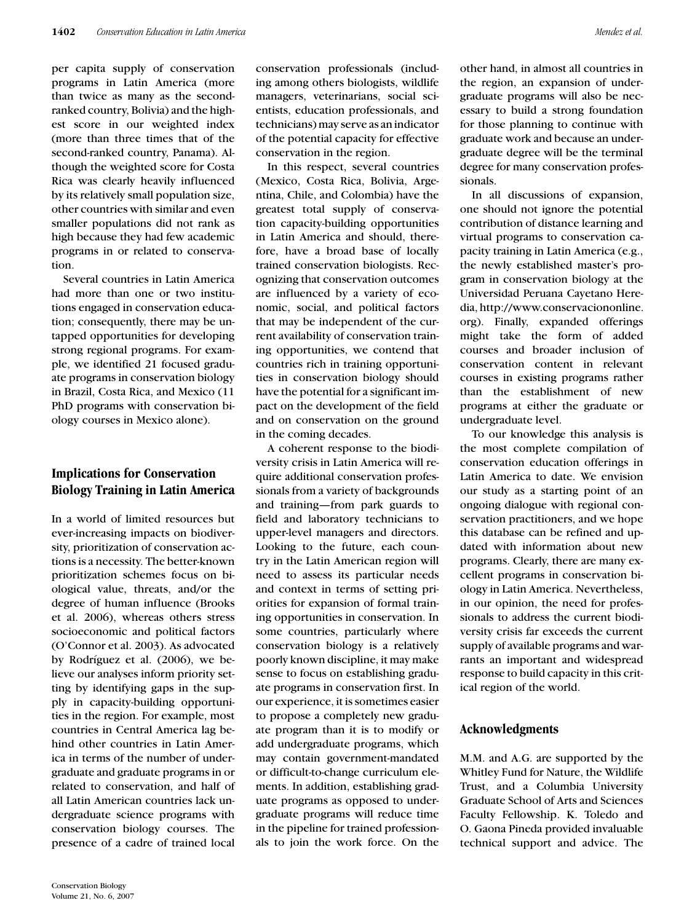per capita supply of conservation programs in Latin America (more than twice as many as the secondranked country, Bolivia) and the highest score in our weighted index (more than three times that of the second-ranked country, Panama). Although the weighted score for Costa Rica was clearly heavily influenced by its relatively small population size, other countries with similar and even smaller populations did not rank as high because they had few academic programs in or related to conservation.

Several countries in Latin America had more than one or two institutions engaged in conservation education; consequently, there may be untapped opportunities for developing strong regional programs. For example, we identified 21 focused graduate programs in conservation biology in Brazil, Costa Rica, and Mexico (11 PhD programs with conservation biology courses in Mexico alone).

## **Implications for Conservation Biology Training in Latin America**

In a world of limited resources but ever-increasing impacts on biodiversity, prioritization of conservation actions is a necessity. The better-known prioritization schemes focus on biological value, threats, and/or the degree of human influence (Brooks et al. 2006), whereas others stress socioeconomic and political factors (O'Connor et al. 2003). As advocated by Rodríguez et al. (2006), we believe our analyses inform priority setting by identifying gaps in the supply in capacity-building opportunities in the region. For example, most countries in Central America lag behind other countries in Latin America in terms of the number of undergraduate and graduate programs in or related to conservation, and half of all Latin American countries lack undergraduate science programs with conservation biology courses. The presence of a cadre of trained local conservation professionals (including among others biologists, wildlife managers, veterinarians, social scientists, education professionals, and technicians) may serve as an indicator of the potential capacity for effective conservation in the region.

In this respect, several countries (Mexico, Costa Rica, Bolivia, Argentina, Chile, and Colombia) have the greatest total supply of conservation capacity-building opportunities in Latin America and should, therefore, have a broad base of locally trained conservation biologists. Recognizing that conservation outcomes are influenced by a variety of economic, social, and political factors that may be independent of the current availability of conservation training opportunities, we contend that countries rich in training opportunities in conservation biology should have the potential for a significant impact on the development of the field and on conservation on the ground in the coming decades.

A coherent response to the biodiversity crisis in Latin America will require additional conservation professionals from a variety of backgrounds and training—from park guards to field and laboratory technicians to upper-level managers and directors. Looking to the future, each country in the Latin American region will need to assess its particular needs and context in terms of setting priorities for expansion of formal training opportunities in conservation. In some countries, particularly where conservation biology is a relatively poorly known discipline, it may make sense to focus on establishing graduate programs in conservation first. In our experience, it is sometimes easier to propose a completely new graduate program than it is to modify or add undergraduate programs, which may contain government-mandated or difficult-to-change curriculum elements. In addition, establishing graduate programs as opposed to undergraduate programs will reduce time in the pipeline for trained professionals to join the work force. On the

other hand, in almost all countries in the region, an expansion of undergraduate programs will also be necessary to build a strong foundation for those planning to continue with graduate work and because an undergraduate degree will be the terminal degree for many conservation professionals.

In all discussions of expansion, one should not ignore the potential contribution of distance learning and virtual programs to conservation capacity training in Latin America (e.g., the newly established master's program in conservation biology at the Universidad Peruana Cayetano Heredia, http://www.conservaciononline. org). Finally, expanded offerings might take the form of added courses and broader inclusion of conservation content in relevant courses in existing programs rather than the establishment of new programs at either the graduate or undergraduate level.

To our knowledge this analysis is the most complete compilation of conservation education offerings in Latin America to date. We envision our study as a starting point of an ongoing dialogue with regional conservation practitioners, and we hope this database can be refined and updated with information about new programs. Clearly, there are many excellent programs in conservation biology in Latin America. Nevertheless, in our opinion, the need for professionals to address the current biodiversity crisis far exceeds the current supply of available programs and warrants an important and widespread response to build capacity in this critical region of the world.

#### **Acknowledgments**

M.M. and A.G. are supported by the Whitley Fund for Nature, the Wildlife Trust, and a Columbia University Graduate School of Arts and Sciences Faculty Fellowship. K. Toledo and O. Gaona Pineda provided invaluable technical support and advice. The